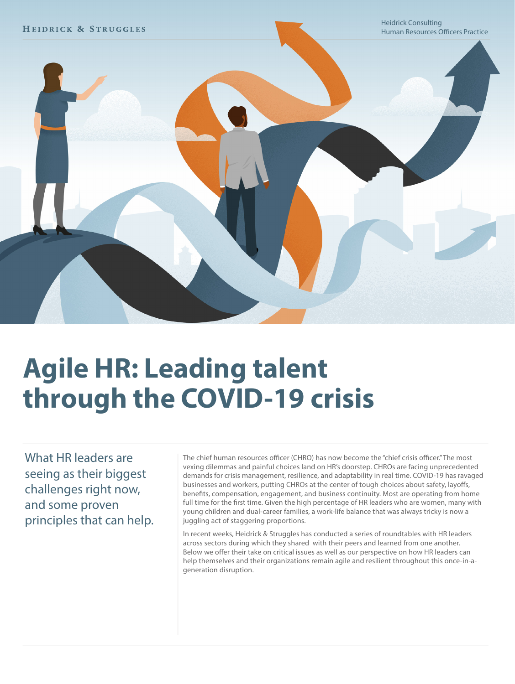

# **Agile HR: Leading talent through the COVID-19 crisis**

What HR leaders are seeing as their biggest challenges right now, and some proven principles that can help.

The chief human resources officer (CHRO) has now become the "chief crisis officer." The most vexing dilemmas and painful choices land on HR's doorstep. CHROs are facing unprecedented demands for crisis management, resilience, and adaptability in real time. COVID-19 has ravaged businesses and workers, putting CHROs at the center of tough choices about safety, layoffs, benefits, compensation, engagement, and business continuity. Most are operating from home full time for the first time. Given the high percentage of HR leaders who are women, many with young children and dual-career families, a work-life balance that was always tricky is now a juggling act of staggering proportions.

In recent weeks, Heidrick & Struggles has conducted a series of roundtables with HR leaders across sectors during which they shared with their peers and learned from one another. Below we offer their take on critical issues as well as our perspective on how HR leaders can help themselves and their organizations remain agile and resilient throughout this once-in-ageneration disruption.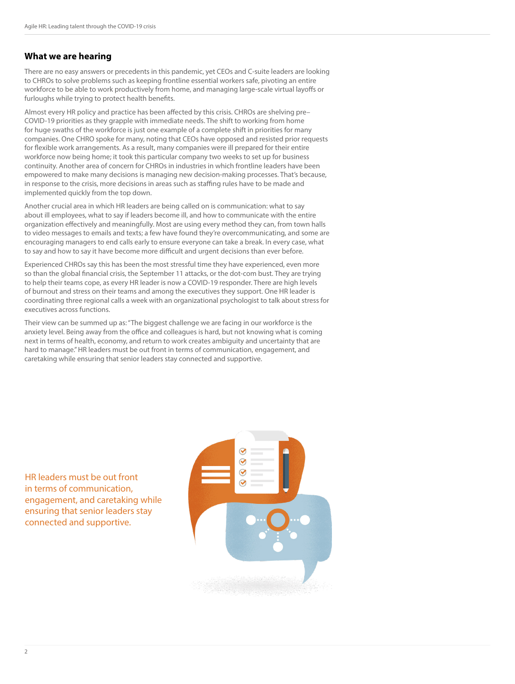#### **What we are hearing**

There are no easy answers or precedents in this pandemic, yet CEOs and C-suite leaders are looking to CHROs to solve problems such as keeping frontline essential workers safe, pivoting an entire workforce to be able to work productively from home, and managing large-scale virtual layoffs or furloughs while trying to protect health benefits.

Almost every HR policy and practice has been affected by this crisis. CHROs are shelving pre– COVID-19 priorities as they grapple with immediate needs. The shift to working from home for huge swaths of the workforce is just one example of a complete shift in priorities for many companies. One CHRO spoke for many, noting that CEOs have opposed and resisted prior requests for flexible work arrangements. As a result, many companies were ill prepared for their entire workforce now being home; it took this particular company two weeks to set up for business continuity. Another area of concern for CHROs in industries in which frontline leaders have been empowered to make many decisions is managing new decision-making processes. That's because, in response to the crisis, more decisions in areas such as staffing rules have to be made and implemented quickly from the top down.

Another crucial area in which HR leaders are being called on is communication: what to say about ill employees, what to say if leaders become ill, and how to communicate with the entire organization effectively and meaningfully. Most are using every method they can, from town halls to video messages to emails and texts; a few have found they're overcommunicating, and some are encouraging managers to end calls early to ensure everyone can take a break. In every case, what to say and how to say it have become more difficult and urgent decisions than ever before.

Experienced CHROs say this has been the most stressful time they have experienced, even more so than the global financial crisis, the September 11 attacks, or the dot-com bust. They are trying to help their teams cope, as every HR leader is now a COVID-19 responder. There are high levels of burnout and stress on their teams and among the executives they support. One HR leader is coordinating three regional calls a week with an organizational psychologist to talk about stress for executives across functions.

Their view can be summed up as: "The biggest challenge we are facing in our workforce is the anxiety level. Being away from the office and colleagues is hard, but not knowing what is coming next in terms of health, economy, and return to work creates ambiguity and uncertainty that are hard to manage." HR leaders must be out front in terms of communication, engagement, and caretaking while ensuring that senior leaders stay connected and supportive.

HR leaders must be out front in terms of communication, engagement, and caretaking while ensuring that senior leaders stay connected and supportive.

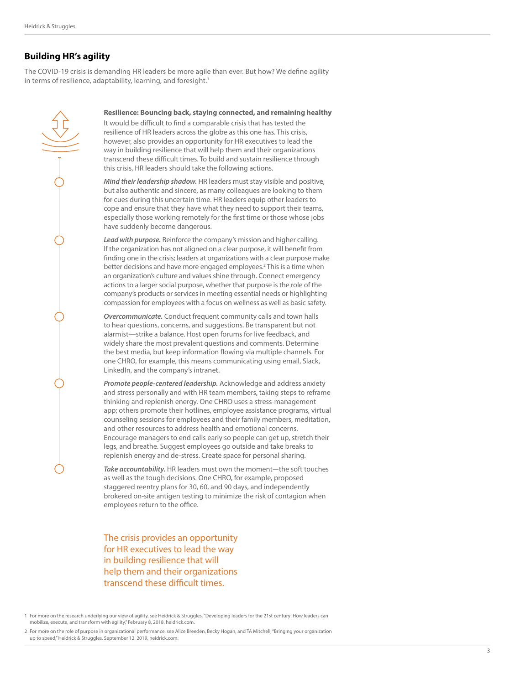### **Building HR's agility**

The COVID-19 crisis is demanding HR leaders be more agile than ever. But how? We define agility in terms of resilience, adaptability, learning, and foresight.<sup>1</sup>



**Resilience: Bouncing back, staying connected, and remaining healthy** 

It would be difficult to find a comparable crisis that has tested the resilience of HR leaders across the globe as this one has. This crisis, however, also provides an opportunity for HR executives to lead the way in building resilience that will help them and their organizations transcend these difficult times. To build and sustain resilience through this crisis, HR leaders should take the following actions.

*Mind their leadership shadow.* HR leaders must stay visible and positive, but also authentic and sincere, as many colleagues are looking to them for cues during this uncertain time. HR leaders equip other leaders to cope and ensure that they have what they need to support their teams, especially those working remotely for the first time or those whose jobs have suddenly become dangerous.

*Lead with purpose.* Reinforce the company's mission and higher calling. If the organization has not aligned on a clear purpose, it will benefit from finding one in the crisis; leaders at organizations with a clear purpose make better decisions and have more engaged employees.<sup>2</sup> This is a time when an organization's culture and values shine through. Connect emergency actions to a larger social purpose, whether that purpose is the role of the company's products or services in meeting essential needs or highlighting compassion for employees with a focus on wellness as well as basic safety.

*Overcommunicate.* Conduct frequent community calls and town halls to hear questions, concerns, and suggestions. Be transparent but not alarmist—strike a balance. Host open forums for live feedback, and widely share the most prevalent questions and comments. Determine the best media, but keep information flowing via multiple channels. For one CHRO, for example, this means communicating using email, Slack, LinkedIn, and the company's intranet.

*Promote people-centered leadership.* Acknowledge and address anxiety and stress personally and with HR team members, taking steps to reframe thinking and replenish energy. One CHRO uses a stress-management app; others promote their hotlines, employee assistance programs, virtual counseling sessions for employees and their family members, meditation, and other resources to address health and emotional concerns. Encourage managers to end calls early so people can get up, stretch their legs, and breathe. Suggest employees go outside and take breaks to replenish energy and de-stress. Create space for personal sharing.

*Take accountability.* HR leaders must own the moment—the soft touches as well as the tough decisions. One CHRO, for example, proposed staggered reentry plans for 30, 60, and 90 days, and independently brokered on-site antigen testing to minimize the risk of contagion when employees return to the office.

The crisis provides an opportunity for HR executives to lead the way in building resilience that will help them and their organizations transcend these difficult times.

1 For more on the research underlying our view of agility, see Heidrick & Struggles, "Developing leaders for the 21st century: How leaders can mobilize, execute, and transform with agility," February 8, 2018, heidrick.com.

2 For more on the role of purpose in organizational performance, see Alice Breeden, Becky Hogan, and TA Mitchell, "Bringing your organization up to speed," Heidrick & Struggles, September 12, 2019, heidrick.com.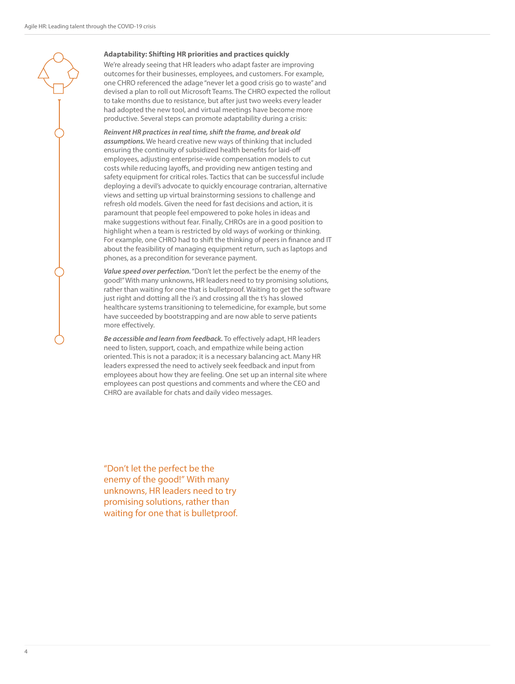#### **Adaptability: Shifting HR priorities and practices quickly**

We're already seeing that HR leaders who adapt faster are improving outcomes for their businesses, employees, and customers. For example, one CHRO referenced the adage "never let a good crisis go to waste" and devised a plan to roll out Microsoft Teams. The CHRO expected the rollout to take months due to resistance, but after just two weeks every leader had adopted the new tool, and virtual meetings have become more productive. Several steps can promote adaptability during a crisis:

*Reinvent HR practices in real time, shift the frame, and break old assumptions.* We heard creative new ways of thinking that included ensuring the continuity of subsidized health benefits for laid-off employees, adjusting enterprise-wide compensation models to cut costs while reducing layoffs, and providing new antigen testing and safety equipment for critical roles. Tactics that can be successful include deploying a devil's advocate to quickly encourage contrarian, alternative views and setting up virtual brainstorming sessions to challenge and refresh old models. Given the need for fast decisions and action, it is paramount that people feel empowered to poke holes in ideas and make suggestions without fear. Finally, CHROs are in a good position to highlight when a team is restricted by old ways of working or thinking. For example, one CHRO had to shift the thinking of peers in finance and IT about the feasibility of managing equipment return, such as laptops and phones, as a precondition for severance payment.

*Value speed over perfection.* "Don't let the perfect be the enemy of the good!" With many unknowns, HR leaders need to try promising solutions, rather than waiting for one that is bulletproof. Waiting to get the software just right and dotting all the i's and crossing all the t's has slowed healthcare systems transitioning to telemedicine, for example, but some have succeeded by bootstrapping and are now able to serve patients more effectively.

*Be accessible and learn from feedback.* To effectively adapt, HR leaders need to listen, support, coach, and empathize while being action oriented. This is not a paradox; it is a necessary balancing act. Many HR leaders expressed the need to actively seek feedback and input from employees about how they are feeling. One set up an internal site where employees can post questions and comments and where the CEO and CHRO are available for chats and daily video messages.

"Don't let the perfect be the enemy of the good!" With many unknowns, HR leaders need to try promising solutions, rather than waiting for one that is bulletproof.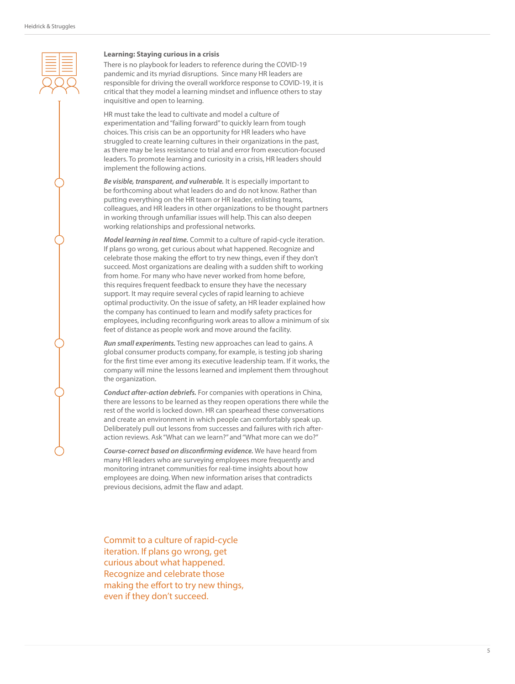#### **Learning: Staying curious in a crisis**

There is no playbook for leaders to reference during the COVID-19 pandemic and its myriad disruptions. Since many HR leaders are responsible for driving the overall workforce response to COVID-19, it is critical that they model a learning mindset and influence others to stay inquisitive and open to learning.

HR must take the lead to cultivate and model a culture of experimentation and "failing forward" to quickly learn from tough choices. This crisis can be an opportunity for HR leaders who have struggled to create learning cultures in their organizations in the past, as there may be less resistance to trial and error from execution-focused leaders. To promote learning and curiosity in a crisis, HR leaders should implement the following actions.

*Be visible, transparent, and vulnerable.* It is especially important to be forthcoming about what leaders do and do not know. Rather than putting everything on the HR team or HR leader, enlisting teams, colleagues, and HR leaders in other organizations to be thought partners in working through unfamiliar issues will help. This can also deepen working relationships and professional networks.

*Model learning in real time.* Commit to a culture of rapid-cycle iteration. If plans go wrong, get curious about what happened. Recognize and celebrate those making the effort to try new things, even if they don't succeed. Most organizations are dealing with a sudden shift to working from home. For many who have never worked from home before, this requires frequent feedback to ensure they have the necessary support. It may require several cycles of rapid learning to achieve optimal productivity. On the issue of safety, an HR leader explained how the company has continued to learn and modify safety practices for employees, including reconfiguring work areas to allow a minimum of six feet of distance as people work and move around the facility.

*Run small experiments.* Testing new approaches can lead to gains. A global consumer products company, for example, is testing job sharing for the first time ever among its executive leadership team. If it works, the company will mine the lessons learned and implement them throughout the organization.

*Conduct after-action debriefs.* For companies with operations in China, there are lessons to be learned as they reopen operations there while the rest of the world is locked down. HR can spearhead these conversations and create an environment in which people can comfortably speak up. Deliberately pull out lessons from successes and failures with rich afteraction reviews. Ask "What can we learn?" and "What more can we do?"

*Course-correct based on disconfirming evidence.* We have heard from many HR leaders who are surveying employees more frequently and monitoring intranet communities for real-time insights about how employees are doing. When new information arises that contradicts previous decisions, admit the flaw and adapt.

Commit to a culture of rapid-cycle iteration. If plans go wrong, get curious about what happened. Recognize and celebrate those making the effort to try new things, even if they don't succeed.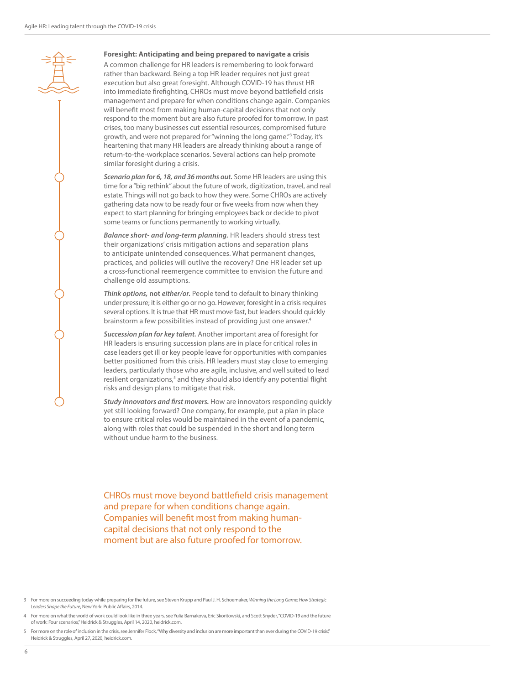#### **Foresight: Anticipating and being prepared to navigate a crisis**

A common challenge for HR leaders is remembering to look forward rather than backward. Being a top HR leader requires not just great execution but also great foresight. Although COVID-19 has thrust HR into immediate firefighting, CHROs must move beyond battlefield crisis management and prepare for when conditions change again. Companies will benefit most from making human-capital decisions that not only respond to the moment but are also future proofed for tomorrow. In past crises, too many businesses cut essential resources, compromised future growth, and were not prepared for "winning the long game."3 Today, it's heartening that many HR leaders are already thinking about a range of return-to-the-workplace scenarios. Several actions can help promote similar foresight during a crisis.

*Scenario plan for 6, 18, and 36 months out.* Some HR leaders are using this time for a "big rethink" about the future of work, digitization, travel, and real estate. Things will not go back to how they were. Some CHROs are actively gathering data now to be ready four or five weeks from now when they expect to start planning for bringing employees back or decide to pivot some teams or functions permanently to working virtually.

*Balance short- and long-term planning.* HR leaders should stress test their organizations' crisis mitigation actions and separation plans to anticipate unintended consequences. What permanent changes, practices, and policies will outlive the recovery? One HR leader set up a cross-functional reemergence committee to envision the future and challenge old assumptions.

*Think options,* **not** *either/or.* People tend to default to binary thinking under pressure; it is either go or no go. However, foresight in a crisis requires several options. It is true that HR must move fast, but leaders should quickly brainstorm a few possibilities instead of providing just one answer.4

*Succession plan for key talent.* Another important area of foresight for HR leaders is ensuring succession plans are in place for critical roles in case leaders get ill or key people leave for opportunities with companies better positioned from this crisis. HR leaders must stay close to emerging leaders, particularly those who are agile, inclusive, and well suited to lead resilient organizations,<sup>5</sup> and they should also identify any potential flight risks and design plans to mitigate that risk.

*Study innovators and first movers.* How are innovators responding quickly yet still looking forward? One company, for example, put a plan in place to ensure critical roles would be maintained in the event of a pandemic, along with roles that could be suspended in the short and long term without undue harm to the business.

CHROs must move beyond battlefield crisis management and prepare for when conditions change again. Companies will benefit most from making humancapital decisions that not only respond to the moment but are also future proofed for tomorrow.

<sup>3</sup> For more on succeeding today while preparing for the future, see Steven Krupp and Paul J. H. Schoemaker, *Winning the Long Game: How Strategic Leaders Shape the Future*, New York: Public Affairs, 2014.

<sup>4</sup> For more on what the world of work could look like in three years, see Yulia Barnakova, Eric Skoritowski, and Scott Snyder, "COVID-19 and the future of work: Four scenarios," Heidrick & Struggles, April 14, 2020, heidrick.com.

<sup>5</sup> For more on the role of inclusion in the crisis, see Jennifer Flock, "Why diversity and inclusion are more important than ever during the COVID-19 crisis," Heidrick & Struggles, April 27, 2020, heidrick.com.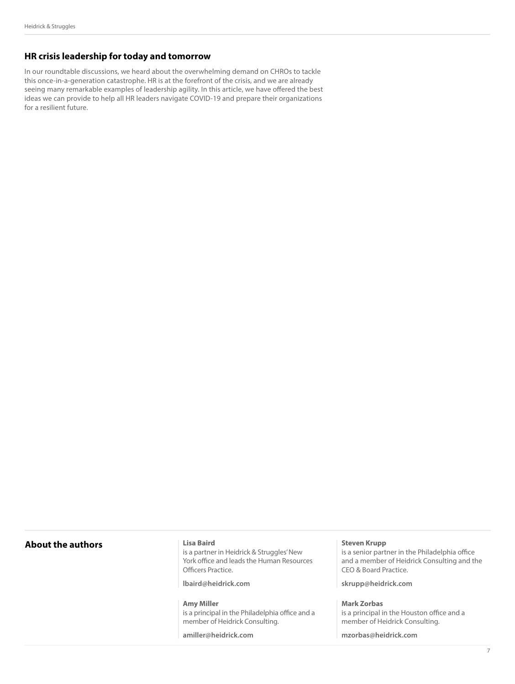### **HR crisis leadership for today and tomorrow**

In our roundtable discussions, we heard about the overwhelming demand on CHROs to tackle this once-in-a-generation catastrophe. HR is at the forefront of the crisis, and we are already seeing many remarkable examples of leadership agility. In this article, we have offered the best ideas we can provide to help all HR leaders navigate COVID-19 and prepare their organizations for a resilient future.

#### **About the authors**

#### **Lisa Baird**

is a partner in Heidrick & Struggles' New York office and leads the Human Resources Officers Practice.

**lbaird@heidrick.com**

**Amy Miller**  is a principal in the Philadelphia office and a member of Heidrick Consulting.

**amiller@heidrick.com**

#### **Steven Krupp**

is a senior partner in the Philadelphia office and a member of Heidrick Consulting and the CEO & Board Practice.

**skrupp@heidrick.com**

#### **Mark Zorbas**

is a principal in the Houston office and a member of Heidrick Consulting.

**mzorbas@heidrick.com**